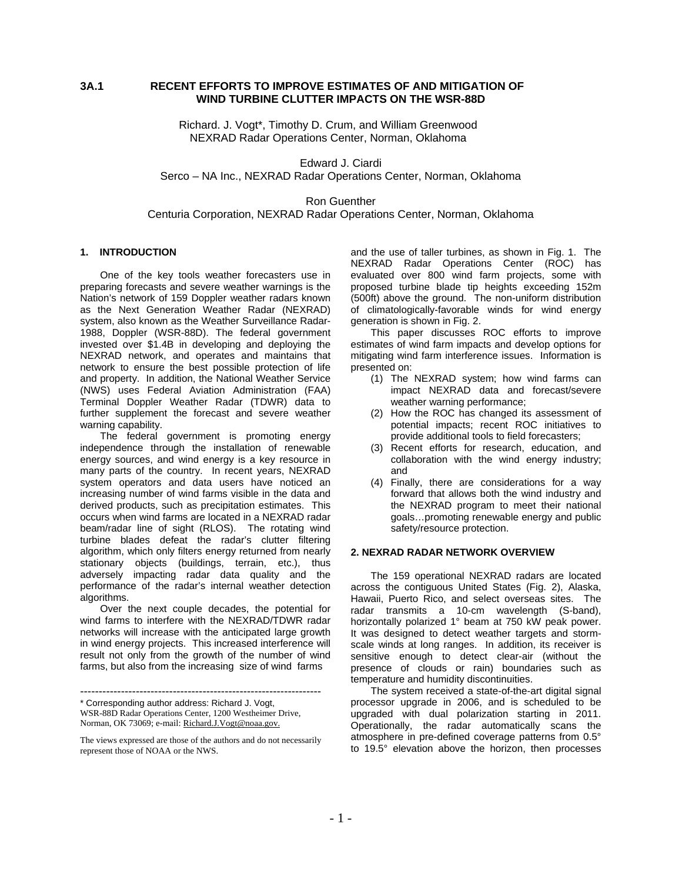# **3A.1 RECENT EFFORTS TO IMPROVE ESTIMATES OF AND MITIGATION OF WIND TURBINE CLUTTER IMPACTS ON THE WSR-88D**

Richard. J. Vogt\*, Timothy D. Crum, and William Greenwood NEXRAD Radar Operations Center, Norman, Oklahoma

Edward J. Ciardi Serco – NA Inc., NEXRAD Radar Operations Center, Norman, Oklahoma

Ron Guenther Centuria Corporation, NEXRAD Radar Operations Center, Norman, Oklahoma

### **1. INTRODUCTION**

One of the key tools weather forecasters use in preparing forecasts and severe weather warnings is the Nation's network of 159 Doppler weather radars known as the Next Generation Weather Radar (NEXRAD) system, also known as the Weather Surveillance Radar-1988, Doppler (WSR-88D). The federal government invested over \$1.4B in developing and deploying the NEXRAD network, and operates and maintains that network to ensure the best possible protection of life and property. In addition, the National Weather Service (NWS) uses Federal Aviation Administration (FAA) Terminal Doppler Weather Radar (TDWR) data to further supplement the forecast and severe weather warning capability.

The federal government is promoting energy independence through the installation of renewable energy sources, and wind energy is a key resource in many parts of the country. In recent years, NEXRAD system operators and data users have noticed an increasing number of wind farms visible in the data and derived products, such as precipitation estimates. This occurs when wind farms are located in a NEXRAD radar beam/radar line of sight (RLOS). The rotating wind turbine blades defeat the radar's clutter filtering algorithm, which only filters energy returned from nearly stationary objects (buildings, terrain, etc.), thus adversely impacting radar data quality and the performance of the radar's internal weather detection algorithms.

Over the next couple decades, the potential for wind farms to interfere with the NEXRAD/TDWR radar networks will increase with the anticipated large growth in wind energy projects. This increased interference will result not only from the growth of the number of wind farms, but also from the increasing size of wind farms

----------------------------------------------------------------- \* Corresponding author address: Richard J. Vogt, WSR-88D Radar Operations Center, 1200 Westheimer Drive, Norman, OK 73069; e-mail: Richard.J.Vogt@noaa.gov.

and the use of taller turbines, as shown in Fig. 1. The NEXRAD Radar Operations Center (ROC) has evaluated over 800 wind farm projects, some with proposed turbine blade tip heights exceeding 152m (500ft) above the ground. The non-uniform distribution of climatologically-favorable winds for wind energy generation is shown in Fig. 2.

This paper discusses ROC efforts to improve estimates of wind farm impacts and develop options for mitigating wind farm interference issues. Information is presented on:

- (1) The NEXRAD system; how wind farms can impact NEXRAD data and forecast/severe weather warning performance;
- (2) How the ROC has changed its assessment of potential impacts; recent ROC initiatives to provide additional tools to field forecasters;
- (3) Recent efforts for research, education, and collaboration with the wind energy industry; and
- (4) Finally, there are considerations for a way forward that allows both the wind industry and the NEXRAD program to meet their national goals…promoting renewable energy and public safety/resource protection.

### **2. NEXRAD RADAR NETWORK OVERVIEW**

The 159 operational NEXRAD radars are located across the contiguous United States (Fig. 2), Alaska, Hawaii, Puerto Rico, and select overseas sites. The radar transmits a 10-cm wavelength (S-band), horizontally polarized 1° beam at 750 kW peak power. It was designed to detect weather targets and stormscale winds at long ranges. In addition, its receiver is sensitive enough to detect clear-air (without the presence of clouds or rain) boundaries such as temperature and humidity discontinuities.

The system received a state-of-the-art digital signal processor upgrade in 2006, and is scheduled to be upgraded with dual polarization starting in 2011. Operationally, the radar automatically scans the atmosphere in pre-defined coverage patterns from 0.5° to 19.5° elevation above the horizon, then processes

The views expressed are those of the authors and do not necessarily represent those of NOAA or the NWS.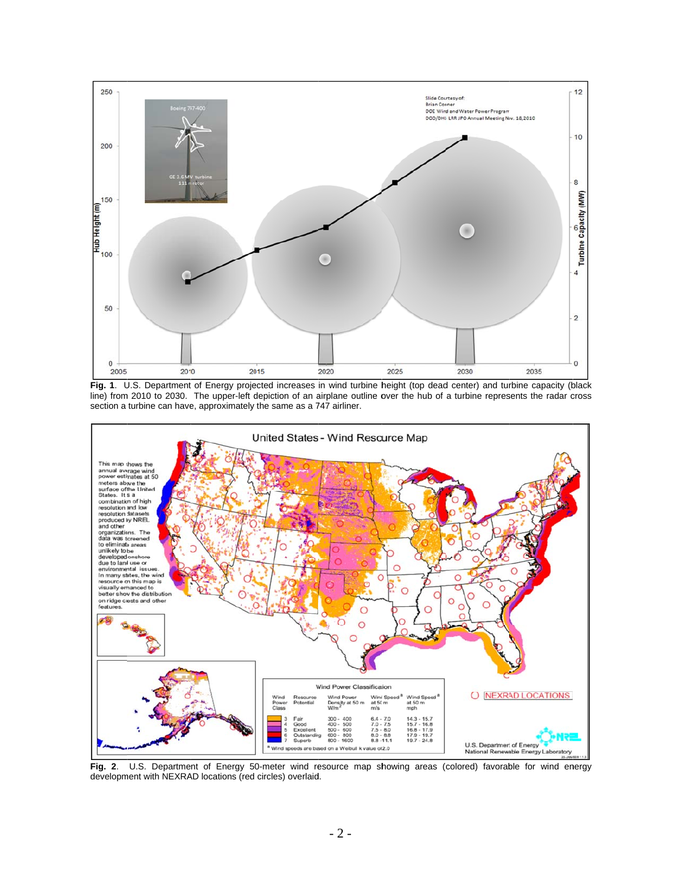

Fig. 1. U.S. Department of Energy projected increases in wind turbine height (top dead center) and turbine capacity (black line) from 2010 to 2030. The upper-left depiction of an airplane outline over the hub of a turbine represents the radar cross section a turbine can have, approximately the same as a 747 airliner.



**Fig. 2**. development with NEXRAD locations (red circles) overlaid. U.S. Department of Energy 50-meter wind resource map showing areas (colored) favorable for wind energy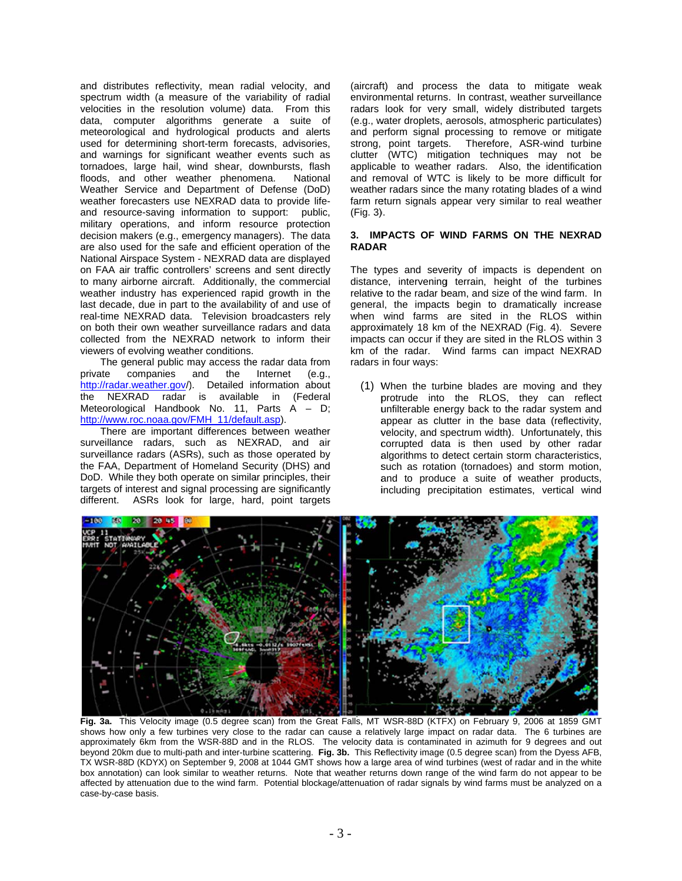and distributes reflectivity, mean radial velocity, and spectrum width (a measure of the variability of radial velocities in the resolution volume) data. From this data, computer algorithms generate a suite of meteorological and hydrological products and alerts used for determining short-term forecasts, advisories, and warnings for significant weather events such as tornadoes, large hail, wind shear, downbursts, flash floods, and other weather phenomena. National Weather Service and Department of Defense (DoD) weather forecasters use NEXRAD data to provide lifeand resource-saving information to support: public, military operations, and inform resource protection decision makers (e.g., emergency managers). The data are also used for the safe and efficient operation of the National Airspace System - NEXRAD data are displayed on FAA air traffic controllers' screens and sent directly to many airborne aircraft. Additionally, the commercial weather industry has experienced rapid growth in the last decade, due in part to the availability of and use of real-time NEXRAD data. Television broadcasters rely on both their own weather surveillance radars and data collected from the NEXRAD network to inform their viewers of evolving weather conditions.

The general public may access the radar data from private companies and the Internet  $(e.g.,$ http://radar.weather.gov/). Detailed information about the NEXRAD radar is available in (Federal Meteorological Handbook No. 11, Parts A - D; http://www.roc.noaa.gov/FMH 11/default.asp).

There are important differences between weather surveillance radars, such as NEXRAD, and air surveillance radars (ASRs), such as those operated by the FAA, Department of Homeland Security (DHS) and DoD. While they both operate on similar principles, their targets of interest and signal processing are significantly different. ASRs look for large, hard, point targets

(aircraft) and process the data to mitigate weak environmental returns. In contrast, weather surveillance radars look for very small, widely distributed targets (e.g., water droplets, aerosols, atmospheric particulates) and perform signal processing to remove or mitigate Therefore, ASR-wind turbine strong, point targets. clutter (WTC) mitigation techniques may not be applicable to weather radars. Also, the identification and removal of WTC is likely to be more difficult for weather radars since the many rotating blades of a wind farm return signals appear very similar to real weather (Fig. 3).

### 3. IMPACTS OF WIND FARMS ON THE NEXRAD **RADAR**

The types and severity of impacts is dependent on distance, intervening terrain, height of the turbines relative to the radar beam, and size of the wind farm. In general, the impacts begin to dramatically increase when wind farms are sited in the RLOS within approximately 18 km of the NEXRAD (Fig. 4). Severe impacts can occur if they are sited in the RLOS within 3 km of the radar. Wind farms can impact NEXRAD radars in four ways:

(1) When the turbine blades are moving and they protrude into the RLOS, they can reflect unfilterable energy back to the radar system and appear as clutter in the base data (reflectivity, velocity, and spectrum width). Unfortunately, this corrupted data is then used by other radar algorithms to detect certain storm characteristics. such as rotation (tornadoes) and storm motion. and to produce a suite of weather products, including precipitation estimates, vertical wind



Fig. 3a. This Velocity image (0.5 degree scan) from the Great Falls, MT WSR-88D (KTFX) on February 9, 2006 at 1859 GMT shows how only a few turbines very close to the radar can cause a relatively large impact on radar data. The 6 turbines are approximately 6km from the WSR-88D and in the RLOS. The velocity data is contaminated in azimuth for 9 degrees and out beyond 20km due to multi-path and inter-turbine scattering. Fig. 3b. This Reflectivity image (0.5 degree scan) from the Dyess AFB,<br>TX WSR-88D (KDYX) on September 9, 2008 at 1044 GMT shows how a large area of wind turbines box annotation) can look similar to weather returns. Note that weather returns down range of the wind farm do not appear to be affected by attenuation due to the wind farm. Potential blockage/attenuation of radar signals by wind farms must be analyzed on a case-by-case basis.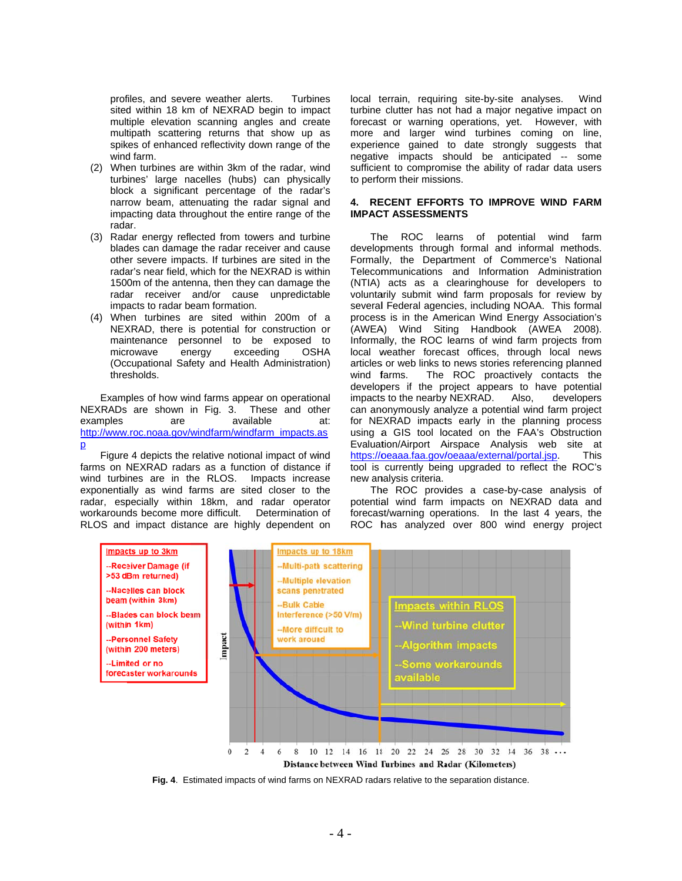profiles, and severe weather alerts. **Turbines** sited within 18 km of NEXRAD begin to impact multiple elevation scanning angles and create multipath scattering returns that show up as spikes of enhanced reflectivity down range of the wind farm.

- (2) When turbines are within 3km of the radar, wind turbines' large nacelles (hubs) can physically block a significant percentage of the radar's narrow beam, attenuating the radar signal and impacting data throughout the entire range of the radar.
- (3) Radar energy reflected from towers and turbine blades can damage the radar receiver and cause other severe impacts. If turbines are sited in the radar's near field, which for the NEXRAD is within 1500m of the antenna, then they can damage the radar receiver and/or cause unpredictable impacts to radar beam formation.
- When turbines are sited within 200m of a  $(4)$ NEXRAD, there is potential for construction or maintenance personnel to be exposed to microwave energy exceeding **OSHA** (Occupational Safety and Health Administration) thresholds.

Examples of how wind farms appear on operational NEXRADs are shown in Fig. 3. These and other examples  $are$ available  $at.$ http://www.roc.noaa.gov/windfarm/windfarm\_impacts.as  $\overline{p}$ 

Figure 4 depicts the relative notional impact of wind farms on NEXRAD radars as a function of distance if wind turbines are in the RLOS. Impacts increase exponentially as wind farms are sited closer to the radar, especially within 18km, and radar operator workarounds become more difficult. Determination of RLOS and impact distance are highly dependent on local terrain, requiring site-by-site analyses. Wind turbine clutter has not had a major negative impact on forecast or warning operations, yet. However, with more and larger wind turbines coming on line, experience gained to date strongly suggests that negative impacts should be anticipated -- some sufficient to compromise the ability of radar data users to perform their missions.

#### 4. RECENT EFFORTS TO IMPROVE WIND FARM **IMPACT ASSESSMENTS**

The ROC learns of potential wind farm developments through formal and informal methods. Formally, the Department of Commerce's National Telecommunications and Information Administration (NTIA) acts as a clearinghouse for developers to voluntarily submit wind farm proposals for review by several Federal agencies, including NOAA. This formal process is in the American Wind Energy Association's (AWEA) Wind Siting Handbook (AWEA 2008). Informally, the ROC learns of wind farm projects from local weather forecast offices, through local news articles or web links to news stories referencing planned The ROC proactively contacts the wind farms. developers if the project appears to have potential impacts to the nearby NEXRAD. Also, developers can anonymously analyze a potential wind farm project for NEXRAD impacts early in the planning process using a GIS tool located on the FAA's Obstruction Evaluation/Airport Airspace Analysis web site at https://oeaaa.faa.gov/oeaaa/external/portal.jsp. **This** tool is currently being upgraded to reflect the ROC's new analysis criteria.

The ROC provides a case-by-case analysis of potential wind farm impacts on NEXRAD data and forecast/warning operations. In the last 4 years, the ROC has analyzed over 800 wind energy project



Fig. 4. Estimated impacts of wind farms on NEXRAD radars relative to the separation distance.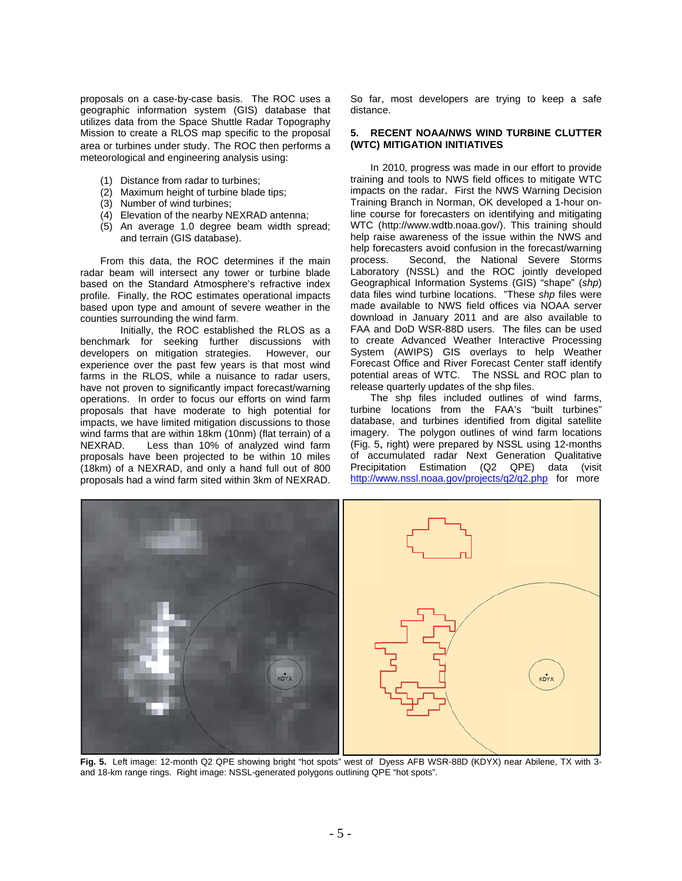proposals on a case-by-case basis. The ROC uses a geographic information system (GIS) database that utilizes data from the Space Shuttle Radar Topography Mission to create a RLOS map specific to the proposal area or turbines under study. The ROC then performs a meteorological and engineering analysis using:

- (1) Distance from radar to turbines;
- (2) Maximum height of turbine blade tips;
- (3) Number of wind turbines:
- (4) Elevation of the nearby NEXRAD antenna;
- (5) An average 1.0 degree beam width spread; and terrain (GIS database).

From this data, the ROC determines if the main radar beam will intersect any tower or turbine blade based on the Standard Atmosphere's refractive index profile. Finally, the ROC estimates operational impacts based upon type and amount of severe weather in the counties surrounding the wind farm.

Initially, the ROC established the RLOS as a benchmark for seeking further discussions with developers on mitigation strategies. However, our experience over the past few years is that most wind farms in the RLOS, while a nuisance to radar users. have not proven to significantly impact forecast/warning operations. In order to focus our efforts on wind farm proposals that have moderate to high potential for impacts, we have limited mitigation discussions to those wind farms that are within 18km (10nm) (flat terrain) of a Less than 10% of analyzed wind farm NEXRAD. proposals have been projected to be within 10 miles (18km) of a NEXRAD, and only a hand full out of 800 proposals had a wind farm sited within 3km of NEXRAD.

So far, most developers are trying to keep a safe distance.

#### 5. RECENT NOAA/NWS WIND TURBINE CLUTTER (WTC) MITIGATION INITIATIVES

In 2010, progress was made in our effort to provide training and tools to NWS field offices to mitigate WTC impacts on the radar. First the NWS Warning Decision Training Branch in Norman, OK developed a 1-hour online course for forecasters on identifying and mitigating WTC (http://www.wdtb.noaa.gov/). This training should help raise awareness of the issue within the NWS and help forecasters avoid confusion in the forecast/warning Second, the National Severe Storms process. Laboratory (NSSL) and the ROC jointly developed<br>Geographical Information Systems (GIS) "shape" (shp) data files wind turbine locations. "These shp files were made available to NWS field offices via NOAA server download in January 2011 and are also available to FAA and DoD WSR-88D users. The files can be used to create Advanced Weather Interactive Processing System (AWIPS) GIS overlays to help Weather Forecast Office and River Forecast Center staff identify potential areas of WTC. The NSSL and ROC plan to release quarterly updates of the shp files.

The shp files included outlines of wind farms, turbine locations from the FAA's "built turbines" database, and turbines identified from digital satellite imagery. The polygon outlines of wind farm locations (Fig. 5, right) were prepared by NSSL using 12-months of accumulated radar Next Generation Qualitative Precipitation Estimation (Q2 QPE) data (visit http://www.nssl.noaa.gov/projects/q2/q2.php for more



Fig. 5. Left image: 12-month Q2 QPE showing bright "hot spots" west of Dyess AFB WSR-88D (KDYX) near Abilene, TX with 3and 18-km range rings. Right image: NSSL-generated polygons outlining QPE "hot spots".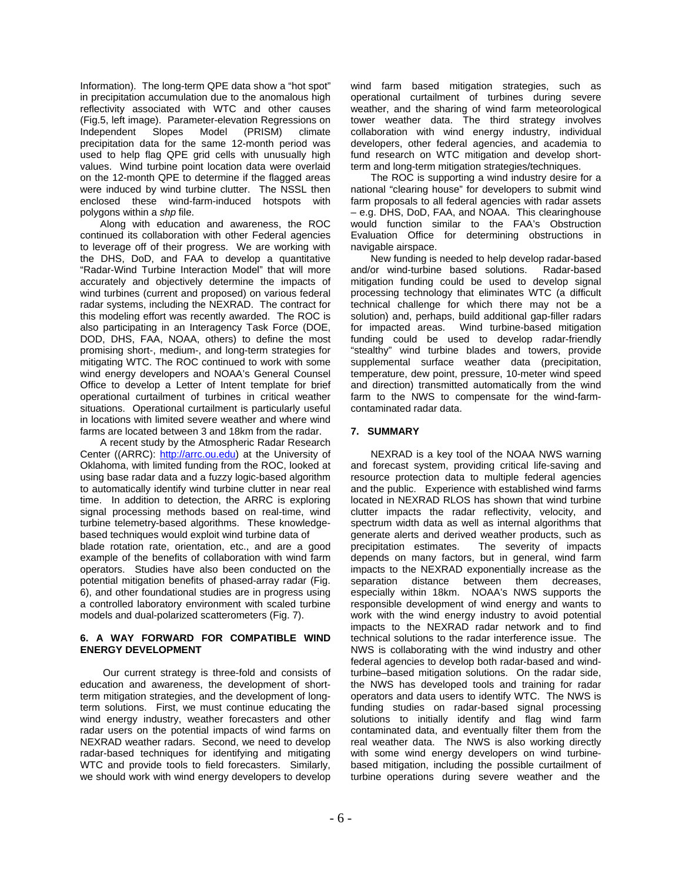Information). The long-term QPE data show a "hot spot" in precipitation accumulation due to the anomalous high reflectivity associated with WTC and other causes (Fig.5, left image). Parameter-elevation Regressions on Independent Slopes Model (PRISM) climate precipitation data for the same 12-month period was used to help flag QPE grid cells with unusually high values. Wind turbine point location data were overlaid on the 12-month QPE to determine if the flagged areas were induced by wind turbine clutter. The NSSL then enclosed these wind-farm-induced hotspots with polygons within a *shp* file.

Along with education and awareness, the ROC continued its collaboration with other Federal agencies to leverage off of their progress. We are working with the DHS, DoD, and FAA to develop a quantitative "Radar-Wind Turbine Interaction Model" that will more accurately and objectively determine the impacts of wind turbines (current and proposed) on various federal radar systems, including the NEXRAD. The contract for this modeling effort was recently awarded. The ROC is also participating in an Interagency Task Force (DOE, DOD, DHS, FAA, NOAA, others) to define the most promising short-, medium-, and long-term strategies for mitigating WTC. The ROC continued to work with some wind energy developers and NOAA's General Counsel Office to develop a Letter of Intent template for brief operational curtailment of turbines in critical weather situations. Operational curtailment is particularly useful in locations with limited severe weather and where wind farms are located between 3 and 18km from the radar.

A recent study by the Atmospheric Radar Research Center ((ARRC): http://arrc.ou.edu) at the University of Oklahoma, with limited funding from the ROC, looked at using base radar data and a fuzzy logic-based algorithm to automatically identify wind turbine clutter in near real time. In addition to detection, the ARRC is exploring signal processing methods based on real-time, wind turbine telemetry-based algorithms. These knowledgebased techniques would exploit wind turbine data of blade rotation rate, orientation, etc., and are a good example of the benefits of collaboration with wind farm operators. Studies have also been conducted on the potential mitigation benefits of phased-array radar (Fig. 6), and other foundational studies are in progress using a controlled laboratory environment with scaled turbine models and dual-polarized scatterometers (Fig. 7).

### **6. A WAY FORWARD FOR COMPATIBLE WIND ENERGY DEVELOPMENT**

 Our current strategy is three-fold and consists of education and awareness, the development of shortterm mitigation strategies, and the development of longterm solutions. First, we must continue educating the wind energy industry, weather forecasters and other radar users on the potential impacts of wind farms on NEXRAD weather radars. Second, we need to develop radar-based techniques for identifying and mitigating WTC and provide tools to field forecasters. Similarly, we should work with wind energy developers to develop

wind farm based mitigation strategies, such as operational curtailment of turbines during severe weather, and the sharing of wind farm meteorological tower weather data. The third strategy involves collaboration with wind energy industry, individual developers, other federal agencies, and academia to fund research on WTC mitigation and develop shortterm and long-term mitigation strategies/techniques.

The ROC is supporting a wind industry desire for a national "clearing house" for developers to submit wind farm proposals to all federal agencies with radar assets – e.g. DHS, DoD, FAA, and NOAA. This clearinghouse would function similar to the FAA's Obstruction Evaluation Office for determining obstructions in navigable airspace.

New funding is needed to help develop radar-based and/or wind-turbine based solutions. Radar-based mitigation funding could be used to develop signal processing technology that eliminates WTC (a difficult technical challenge for which there may not be a solution) and, perhaps, build additional gap-filler radars for impacted areas. Wind turbine-based mitigation funding could be used to develop radar-friendly "stealthy" wind turbine blades and towers, provide supplemental surface weather data (precipitation, temperature, dew point, pressure, 10-meter wind speed and direction) transmitted automatically from the wind farm to the NWS to compensate for the wind-farmcontaminated radar data.

## **7. SUMMARY**

NEXRAD is a key tool of the NOAA NWS warning and forecast system, providing critical life-saving and resource protection data to multiple federal agencies and the public. Experience with established wind farms located in NEXRAD RLOS has shown that wind turbine clutter impacts the radar reflectivity, velocity, and spectrum width data as well as internal algorithms that generate alerts and derived weather products, such as precipitation estimates. The severity of impacts depends on many factors, but in general, wind farm impacts to the NEXRAD exponentially increase as the separation distance between them decreases, especially within 18km. NOAA's NWS supports the responsible development of wind energy and wants to work with the wind energy industry to avoid potential impacts to the NEXRAD radar network and to find technical solutions to the radar interference issue. The NWS is collaborating with the wind industry and other federal agencies to develop both radar-based and windturbine–based mitigation solutions. On the radar side, the NWS has developed tools and training for radar operators and data users to identify WTC. The NWS is funding studies on radar-based signal processing solutions to initially identify and flag wind farm contaminated data, and eventually filter them from the real weather data. The NWS is also working directly with some wind energy developers on wind turbinebased mitigation, including the possible curtailment of turbine operations during severe weather and the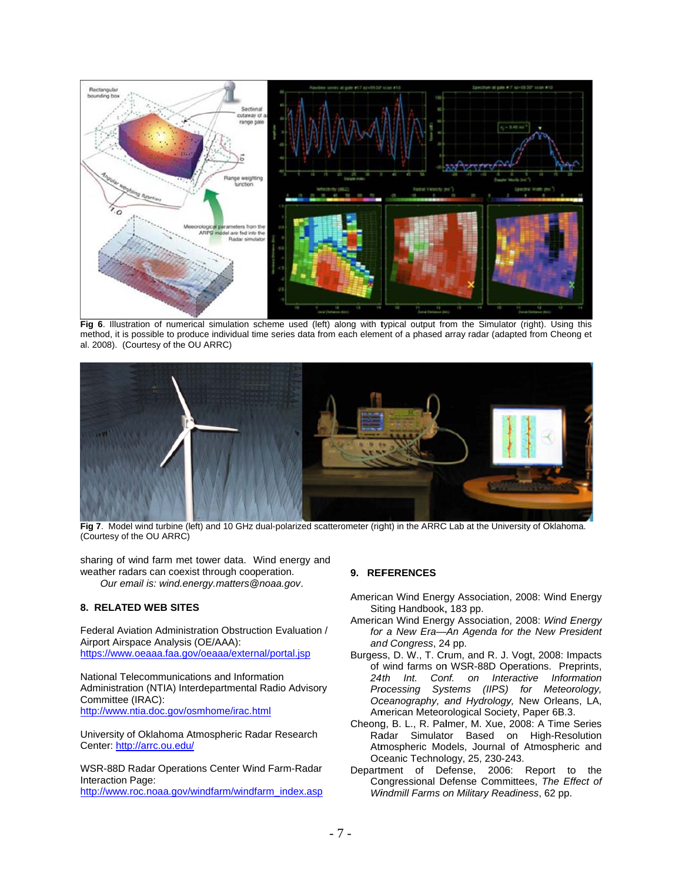

Fig 6. Illustration of numerical simulation scheme used (left) along with typical output from the Simulator (right). Using this method, it is possible to produce individual time series data from each element of a phased array radar (adapted from Cheong et al. 2008). (Courtesy of the OU ARRC)



Fig 7. Model wind turbine (left) and 10 GHz dual-polarized scatterometer (right) in the ARRC Lab at the University of Oklahoma. (Courtesy of the OU ARRC)

sharing of wind farm met tower data. Wind energy and weather radars can coexist through cooperation. Our email is: wind.energy.matters@noaa.gov.

## 8. RELATED WEB SITES

Federal Aviation Administration Obstruction Evaluation / Airport Airspace Analysis (OE/AAA): https://www.oeaaa.faa.gov/oeaaa/external/portal.jsp

National Telecommunications and Information Administration (NTIA) Interdepartmental Radio Advisory Committee (IRAC): http://www.ntia.doc.gov/osmhome/irac.html

University of Oklahoma Atmospheric Radar Research Center: http://arrc.ou.edu/

WSR-88D Radar Operations Center Wind Farm-Radar Interaction Page: http://www.roc.noaa.gov/windfarm/windfarm\_index.asp

### 9. REFERENCES

- American Wind Energy Association, 2008: Wind Energy Siting Handbook, 183 pp.
- American Wind Energy Association, 2008: Wind Energy for a New Era-An Agenda for the New President and Congress, 24 pp.
- Burgess, D. W., T. Crum, and R. J. Vogt, 2008: Impacts of wind farms on WSR-88D Operations. Preprints,  $24th$  Int. Conf. on Interactive Information Processing Systems (IIPS) for Meteorology, Oceanography, and Hydrology, New Orleans, LA, American Meteorological Society, Paper 6B.3.
- Cheong, B. L., R. Palmer, M. Xue, 2008: A Time Series Radar Simulator Based on High-Resolution Atmospheric Models, Journal of Atmospheric and Oceanic Technology, 25, 230-243.
- Department of Defense, 2006: Report to the Congressional Defense Committees, The Effect of Windmill Farms on Military Readiness, 62 pp.